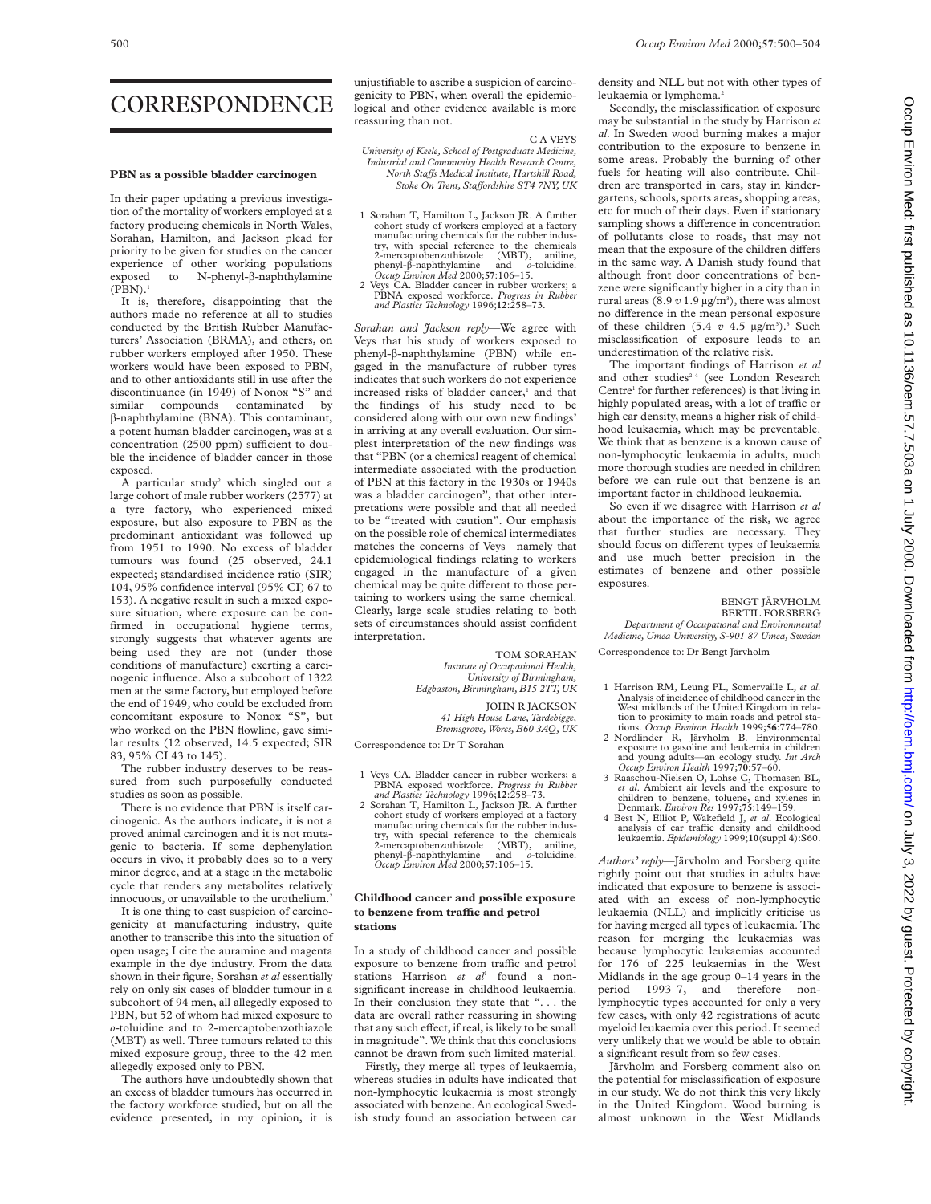## CORRESPONDENCE

### **PBN as a possible bladder carcinogen**

In their paper updating a previous investigation of the mortality of workers employed at a factory producing chemicals in North Wales, Sorahan, Hamilton, and Jackson plead for priority to be given for studies on the cancer experience of other working populations exposed to N-phenyl- $\beta$ -naphthylamine  $(PBN).<sup>1</sup>$ 

It is, therefore, disappointing that the authors made no reference at all to studies conducted by the British Rubber Manufacturers' Association (BRMA), and others, on rubber workers employed after 1950. These workers would have been exposed to PBN, and to other antioxidants still in use after the discontinuance (in 1949) of Nonox "S" and similar compounds contaminated by â-naphthylamine (BNA). This contaminant, a potent human bladder carcinogen, was at a concentration (2500 ppm) sufficient to double the incidence of bladder cancer in those exposed.

A particular study<sup>2</sup> which singled out a large cohort of male rubber workers (2577) at a tyre factory, who experienced mixed exposure, but also exposure to PBN as the predominant antioxidant was followed up from 1951 to 1990. No excess of bladder tumours was found (25 observed, 24.1 expected; standardised incidence ratio (SIR) 104, 95% confidence interval (95% CI) 67 to 153). A negative result in such a mixed exposure situation, where exposure can be confirmed in occupational hygiene terms, strongly suggests that whatever agents are being used they are not (under those conditions of manufacture) exerting a carcinogenic influence. Also a subcohort of 1322 men at the same factory, but employed before the end of 1949, who could be excluded from concomitant exposure to Nonox "S", but who worked on the PBN flowline, gave similar results (12 observed, 14.5 expected; SIR 83, 95% CI 43 to 145).

The rubber industry deserves to be reassured from such purposefully conducted studies as soon as possible.

There is no evidence that PBN is itself carcinogenic. As the authors indicate, it is not a proved animal carcinogen and it is not mutagenic to bacteria. If some dephenylation occurs in vivo, it probably does so to a very minor degree, and at a stage in the metabolic cycle that renders any metabolites relatively innocuous, or unavailable to the urothelium.<sup>2</sup>

It is one thing to cast suspicion of carcinogenicity at manufacturing industry, quite another to transcribe this into the situation of open usage; I cite the auramine and magenta example in the dye industry. From the data shown in their figure, Sorahan *et al* essentially rely on only six cases of bladder tumour in a subcohort of 94 men, all allegedly exposed to PBN, but 52 of whom had mixed exposure to *o*-toluidine and to 2-mercaptobenzothiazole (MBT) as well. Three tumours related to this mixed exposure group, three to the 42 men allegedly exposed only to PBN.

The authors have undoubtedly shown that an excess of bladder tumours has occurred in the factory workforce studied, but on all the evidence presented, in my opinion, it is unjustifiable to ascribe a suspicion of carcinogenicity to PBN, when overall the epidemiological and other evidence available is more reassuring than not.

C A VEYS

*University of Keele, School of Postgraduate Medicine, Industrial and Community Health Research Centre, North StaVs Medical Institute, Hartshill Road, Stoke On Trent, StaVordshire ST4 7NY, UK*

- 1 Sorahan T, Hamilton L, Jackson JR. A further cohort study of workers employed at a factory manufacturing chemicals for the rubber industry, with special reference to the chemicals 2-mercaptobenzothiazole (MBT), aniline, phenyl-â-naphthylamine and *o*-toluidine. *Occup Environ Med* 2000;**57**:106–15. 2 Veys CA. Bladder cancer in rubber workers; a
- PBNA exposed workforce. *Progress in Rubber and Plastics Technology* 1996;**12**:258–73.

*Sorahan and Jackson reply*—We agree with Veys that his study of workers exposed to phenyl-â-naphthylamine (PBN) while engaged in the manufacture of rubber tyres indicates that such workers do not experience increased risks of bladder cancer,<sup>1</sup> and that the findings of his study need to be considered along with our own new findings<sup>2</sup> in arriving at any overall evaluation. Our simplest interpretation of the new findings was that "PBN (or a chemical reagent of chemical intermediate associated with the production of PBN at this factory in the 1930s or 1940s was a bladder carcinogen", that other interpretations were possible and that all needed to be "treated with caution". Our emphasis on the possible role of chemical intermediates matches the concerns of Veys—namely that epidemiological findings relating to workers engaged in the manufacture of a given chemical may be quite different to those pertaining to workers using the same chemical. Clearly, large scale studies relating to both sets of circumstances should assist confident interpretation.

> TOM SORAHAN *Institute of Occupational Health, University of Birmingham, Edgbaston, Birmingham, B15 2TT, UK*

> > JOHN R JACKSON *41 High House Lane, Tardebigge, Bromsgrove, Worcs, B60 3AQ, UK*

Correspondence to: Dr T Sorahan

- 1 Veys CA. Bladder cancer in rubber workers; a PBNA exposed workforce. *Progress in Rubber and Plastics Technology* 1996;**12**:258–73.
- 2 Sorahan T, Hamilton L, Jackson JR. A further cohort study of workers employed at a factory manufacturing chemicals for the rubber indus-try, with special reference to the chemicals 2-mercaptobenzothiazole (MBT), aniline, phenyl-â-naphthylamine and *o*-toluidine. *Occup Environ Med* 2000;**57**:106–15.

### **Childhood cancer and possible exposure to benzene from traYc and petrol stations**

In a study of childhood cancer and possible exposure to benzene from traffic and petrol stations Harrison et al<sup>1</sup> found a nonsignificant increase in childhood leukaemia. In their conclusion they state that ". . . the data are overall rather reassuring in showing that any such effect, if real, is likely to be small in magnitude". We think that this conclusions cannot be drawn from such limited material.

Firstly, they merge all types of leukaemia, whereas studies in adults have indicated that non-lymphocytic leukaemia is most strongly associated with benzene. An ecological Swedish study found an association between car

density and NLL but not with other types of leukaemia or lymphoma.<sup>2</sup>

Secondly, the misclassification of exposure may be substantial in the study by Harrison *et al*. In Sweden wood burning makes a major contribution to the exposure to benzene in some areas. Probably the burning of other fuels for heating will also contribute. Children are transported in cars, stay in kindergartens, schools, sports areas, shopping areas, etc for much of their days. Even if stationary sampling shows a difference in concentration of pollutants close to roads, that may not mean that the exposure of the children differs in the same way. A Danish study found that although front door concentrations of benzene were significantly higher in a city than in rural areas  $(8.9 v 1.9 \,\mathrm{\upmu g/m^3})$ , there was almost no difference in the mean personal exposure of these children  $(5.4 \ v 4.5 \ \mu g/m^3)$ .<sup>3</sup> Such misclassification of exposure leads to an underestimation of the relative risk.

The important findings of Harrison *et al* and other studies<sup>24</sup> (see London Research Centre<sup>1</sup> for further references) is that living in highly populated areas, with a lot of traffic or high car density, means a higher risk of childhood leukaemia, which may be preventable. We think that as benzene is a known cause of non-lymphocytic leukaemia in adults, much more thorough studies are needed in children before we can rule out that benzene is an important factor in childhood leukaemia.

So even if we disagree with Harrison *et al* about the importance of the risk, we agree that further studies are necessary. They should focus on different types of leukaemia and use much better precision in the estimates of benzene and other possible exposures.

#### BENGT JÄRVHOLM BERTIL FORSBERG

*Department of Occupational and Environmental Medicine, Umea University, S-901 87 Umea, Sweden*

Correspondence to: Dr Bengt Järvholm

- 1 Harrison RM, Leung PL, Somervaille L, *et al*. Analysis of incidence of childhood cancer in the West midlands of the United Kingdom in rela-
- tion to proximity to main roads and petrol sta-<br>tions. *Occup Environ Health* 1999;66:774-780.<br>2 Nordlinder R, Järvholm B. Environmental<br>exposure to gasoline and leukemia in children<br>and young adults—an ecology study. *In*
- 3 Raaschou-Nielsen O, Lohse C, Thomasen BL, *et al*. Ambient air levels and the exposure to children to benzene, toluene, and xylenes in Denmark. *Environ Res* 1997;**75**:149–159.
- 4 Best N, Elliot P, Wakefield J, *et al*. Ecological analysis of car traffic density and childhood leukaemia. *Epidemiology* 1999;**10**(suppl 4):S60.

*Authors' reply*—Järvholm and Forsberg quite rightly point out that studies in adults have indicated that exposure to benzene is associated with an excess of non-lymphocytic leukaemia (NLL) and implicitly criticise us for having merged all types of leukaemia. The reason for merging the leukaemias was because lymphocytic leukaemias accounted for 176 of 225 leukaemias in the West Midlands in the age group 0–14 years in the period 1993–7, and therefore nonlymphocytic types accounted for only a very few cases, with only 42 registrations of acute myeloid leukaemia over this period. It seemed very unlikely that we would be able to obtain a significant result from so few cases.

Järvholm and Forsberg comment also on the potential for misclassification of exposure in our study. We do not think this very likely in the United Kingdom. Wood burning is almost unknown in the West Midlands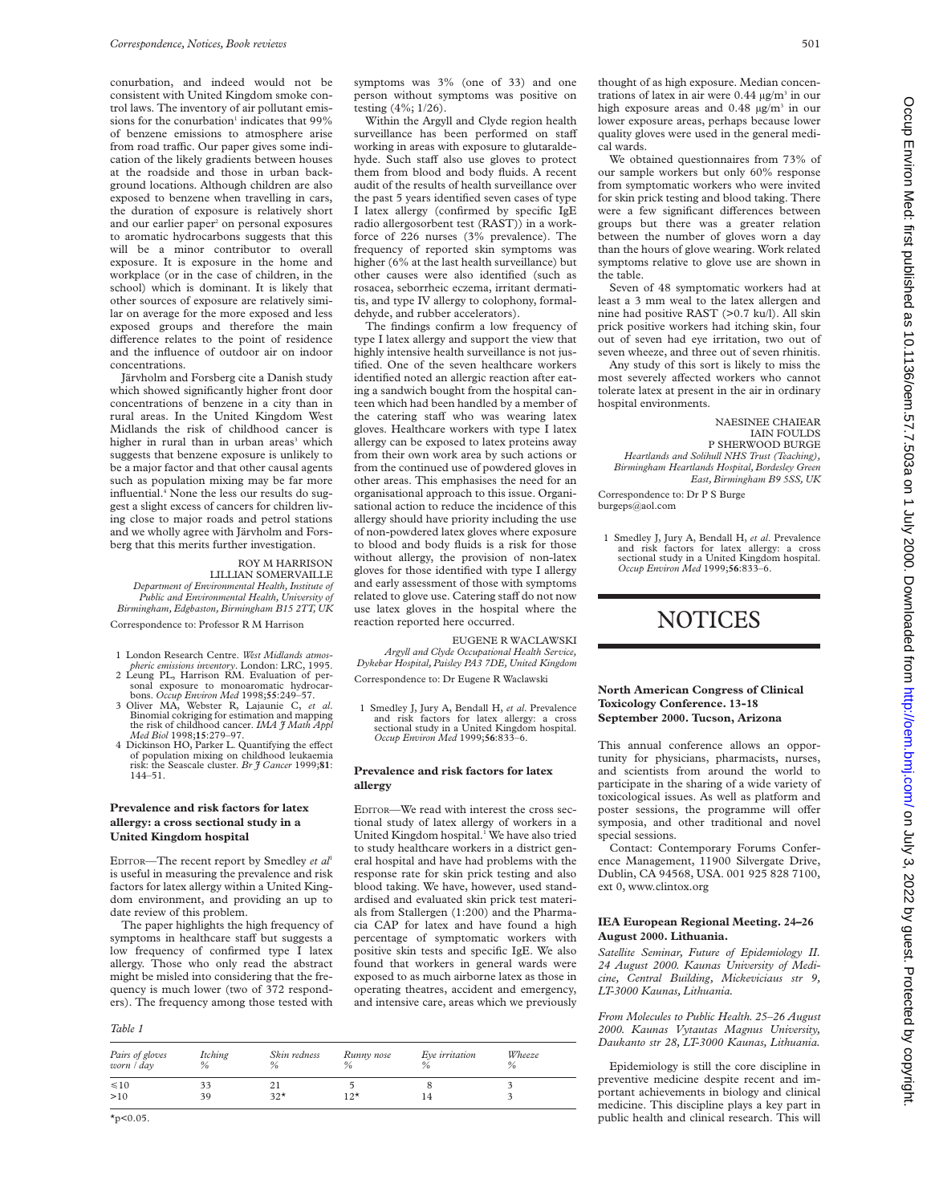conurbation, and indeed would not be consistent with United Kingdom smoke control laws. The inventory of air pollutant emissions for the conurbation<sup>1</sup> indicates that  $99\%$ of benzene emissions to atmosphere arise from road traffic. Our paper gives some indication of the likely gradients between houses at the roadside and those in urban background locations. Although children are also exposed to benzene when travelling in cars, the duration of exposure is relatively short and our earlier paper<sup>2</sup> on personal exposures to aromatic hydrocarbons suggests that this will be a minor contributor to overall exposure. It is exposure in the home and workplace (or in the case of children, in the school) which is dominant. It is likely that other sources of exposure are relatively similar on average for the more exposed and less exposed groups and therefore the main difference relates to the point of residence and the influence of outdoor air on indoor concentrations.

Järvholm and Forsberg cite a Danish study which showed significantly higher front door concentrations of benzene in a city than in rural areas. In the United Kingdom West Midlands the risk of childhood cancer is higher in rural than in urban areas<sup>3</sup> which suggests that benzene exposure is unlikely to be a major factor and that other causal agents such as population mixing may be far more influential.<sup>4</sup> None the less our results do suggest a slight excess of cancers for children living close to major roads and petrol stations and we wholly agree with Järvholm and Forsberg that this merits further investigation.

### ROY M HARRISON

LILLIAN SOMERVAILLE *Department of Environmental Health, Institute of Public and Environmental Health, University of Birmingham, Edgbaston, Birmingham B15 2TT, UK*

Correspondence to: Professor R M Harrison

- 1 London Research Centre. *West Midlands atmos-*
- *pheric emissions inventory*. London: LRC, 1995. 2 Leung PL, Harrison RM. Evaluation of per-
- sonal exposure to monoaromatic hydrocar-bons. *Occup Environ Med* 1998;**55**:249–57. 3 Oliver MA, Webster R, Lajaunie C, *et al*. Binomial cokriging for estimation and mapping the risk of childhood cancer. *IMA J Math Appl Med Biol* 1998;**15**:279–97.
- 4 Dickinson HO, Parker L. Quantifying the effect of population mixing on childhood leukaemia risk: the Seascale cluster. *Br J Cancer* 1999;**81**: 144–51.

### **Prevalence and risk factors for latex allergy: a cross sectional study in a United Kingdom hospital**

EDITOR-The recent report by Smedley et al<sup>1</sup> is useful in measuring the prevalence and risk factors for latex allergy within a United Kingdom environment, and providing an up to date review of this problem.

The paper highlights the high frequency of symptoms in healthcare staff but suggests a low frequency of confirmed type I latex allergy. Those who only read the abstract might be misled into considering that the frequency is much lower (two of 372 responders). The frequency among those tested with

### *Table 1*

| Pairs of gloves<br>worn / day | Itching<br>$\frac{0}{0}$ | Skin redness<br>% | Runny nose<br>$\%$ | Eve irritation<br>$\%$ | Wheeze<br>$\%$ |
|-------------------------------|--------------------------|-------------------|--------------------|------------------------|----------------|
| $\leq 10$                     | 33                       |                   |                    |                        |                |
| >10                           | 39                       | $32*$             | $12*$              | 14                     |                |

symptoms was 3% (one of 33) and one person without symptoms was positive on testing (4%; 1/26).

Within the Argyll and Clyde region health surveillance has been performed on staff working in areas with exposure to glutaraldehyde. Such staff also use gloves to protect them from blood and body fluids. A recent audit of the results of health surveillance over the past 5 years identified seven cases of type I latex allergy (confirmed by specific IgE radio allergosorbent test (RAST)) in a workforce of 226 nurses (3% prevalence). The frequency of reported skin symptoms was higher (6% at the last health surveillance) but other causes were also identified (such as rosacea, seborrheic eczema, irritant dermatitis, and type IV allergy to colophony, formaldehyde, and rubber accelerators).

The findings confirm a low frequency of type I latex allergy and support the view that highly intensive health surveillance is not justified. One of the seven healthcare workers identified noted an allergic reaction after eating a sandwich bought from the hospital canteen which had been handled by a member of the catering staff who was wearing latex gloves. Healthcare workers with type I latex allergy can be exposed to latex proteins away from their own work area by such actions or from the continued use of powdered gloves in other areas. This emphasises the need for an organisational approach to this issue. Organisational action to reduce the incidence of this allergy should have priority including the use of non-powdered latex gloves where exposure to blood and body fluids is a risk for those without allergy, the provision of non-latex gloves for those identified with type I allergy and early assessment of those with symptoms related to glove use. Catering staff do not now use latex gloves in the hospital where the reaction reported here occurred.

EUGENE R WACLAWSKI *Argyll and Clyde Occupational Health Service, Dykebar Hospital, Paisley PA3 7DE, United Kingdom* Correspondence to: Dr Eugene R Waclawski

1 Smedley J, Jury A, Bendall H, *et al*. Prevalence and risk factors for latex allergy: a cross sectional study in a United Kingdom hospital. *Occup Environ Med* 1999;**56**:833–6.

### **Prevalence and risk factors for latex allergy**

EDITOR—We read with interest the cross sectional study of latex allergy of workers in a United Kingdom hospital.<sup>1</sup> We have also tried to study healthcare workers in a district general hospital and have had problems with the response rate for skin prick testing and also blood taking. We have, however, used standardised and evaluated skin prick test materials from Stallergen (1:200) and the Pharmacia CAP for latex and have found a high percentage of symptomatic workers with positive skin tests and specific IgE. We also found that workers in general wards were exposed to as much airborne latex as those in operating theatres, accident and emergency, and intensive care, areas which we previously

thought of as high exposure. Median concentrations of latex in air were  $0.44 \mu g/m^3$  in our high exposure areas and 0.48 µg/m<sup>3</sup> in our lower exposure areas, perhaps because lower quality gloves were used in the general medical wards.

We obtained questionnaires from 73% of our sample workers but only 60% response from symptomatic workers who were invited for skin prick testing and blood taking. There were a few significant differences between groups but there was a greater relation between the number of gloves worn a day than the hours of glove wearing. Work related symptoms relative to glove use are shown in the table.

Seven of 48 symptomatic workers had at least a 3 mm weal to the latex allergen and nine had positive RAST (>0.7 ku/l). All skin prick positive workers had itching skin, four out of seven had eye irritation, two out of seven wheeze, and three out of seven rhinitis.

Any study of this sort is likely to miss the most severely affected workers who cannot tolerate latex at present in the air in ordinary hospital environments.

NAESINEE CHAIEAR IAIN FOULDS P SHERWOOD BURGE *Heartlands and Solihull NHS Trust (Teaching), Birmingham Heartlands Hospital, Bordesley Green East, Birmingham B9 5SS, UK*

Correspondence to: Dr P S Burge burgeps@aol.com

1 Smedley J, Jury A, Bendall H, *et al*. Prevalence and risk factors for latex allergy: a cross sectional study in a United Kingdom hospital. *Occup Environ Med* 1999;**56**:833–6.

# **NOTICES**

### **North American Congress of Clinical Toxicology Conference. 13-18 September 2000. Tucson, Arizona**

This annual conference allows an opportunity for physicians, pharmacists, nurses, and scientists from around the world to participate in the sharing of a wide variety of toxicological issues. As well as platform and poster sessions, the programme will offer symposia, and other traditional and novel special sessions.

Contact: Contemporary Forums Conference Management, 11900 Silvergate Drive, Dublin, CA 94568, USA. 001 925 828 7100, ext 0, www.clintox.org

### **IEA European Regional Meeting. 24–26 August 2000. Lithuania.**

*Satellite Seminar, Future of Epidemiology II. 24 August 2000. Kaunas University of Medicine, Central Building, Mickeviciaus str 9, LT-3000 Kaunas, Lithuania.*

*From Molecules to Public Health. 25–26 August 2000. Kaunas Vytautas Magnus University, Daukanto str 28, LT-3000 Kaunas, Lithuania.*

Epidemiology is still the core discipline in preventive medicine despite recent and important achievements in biology and clinical medicine. This discipline plays a key part in public health and clinical research. This will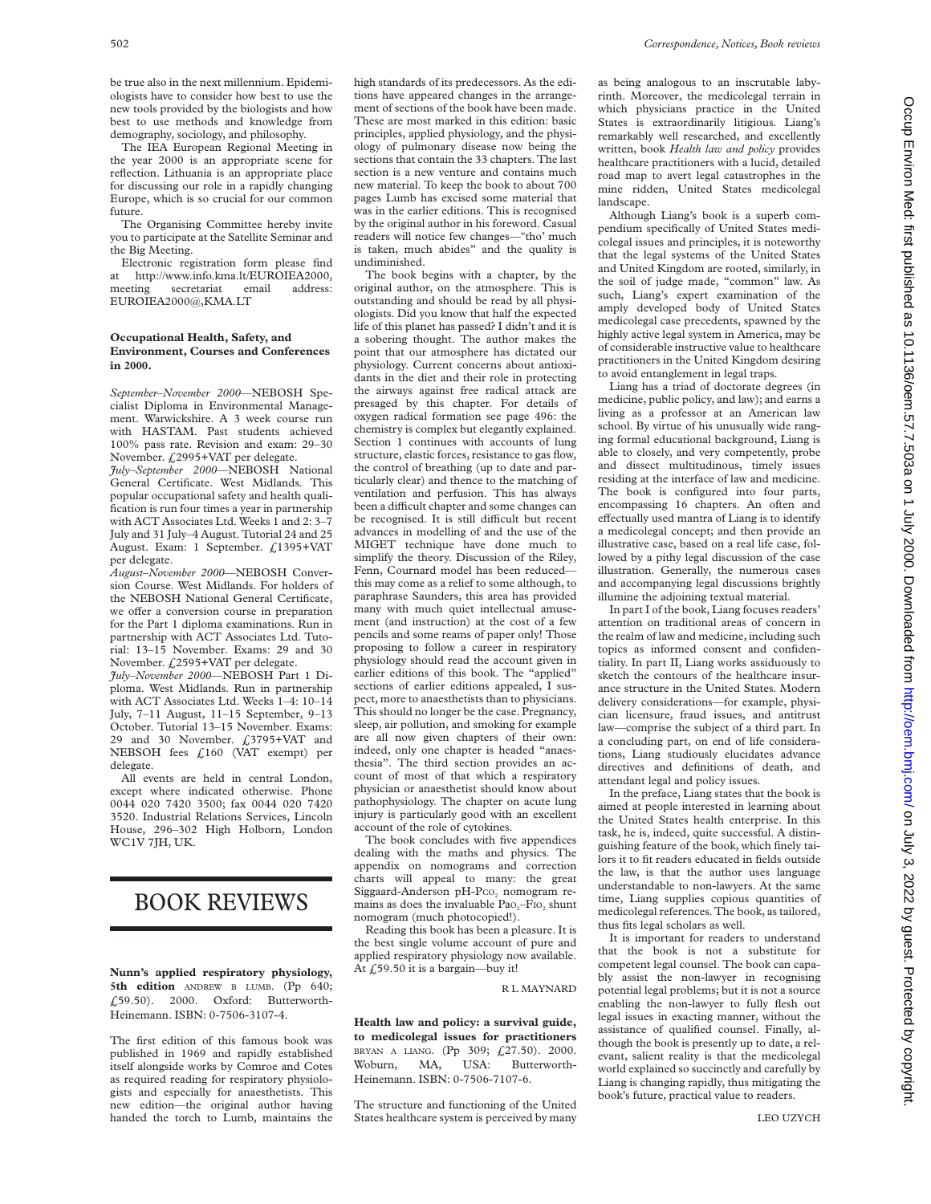be true also in the next millennium. Epidemiologists have to consider how best to use the new tools provided by the biologists and how best to use methods and knowledge from demography, sociology, and philosophy.

The IEA European Regional Meeting in the year 2000 is an appropriate scene for reflection. Lithuania is an appropriate place for discussing our role in a rapidly changing Europe, which is so crucial for our common future.

The Organising Committee hereby invite you to participate at the Satellite Seminar and the Big Meeting.

Electronic registration form please find at http://www.info.kma.lt/EUROIEA2000, meeting secretariat email address: EUROIEA2000@,KMA.LT

### **Occupational Health, Safety, and Environment, Courses and Conferences in 2000.**

*September–November 2000*—NEBOSH Specialist Diploma in Environmental Management. Warwickshire. A 3 week course run with HASTAM. Past students achieved 100% pass rate. Revision and exam: 29–30 November. £2995+VAT per delegate.

*July–September 2000*—NEBOSH National General Certificate. West Midlands. This popular occupational safety and health qualification is run four times a year in partnership with ACT Associates Ltd. Weeks 1 and 2: 3–7 July and 31 July–4 August. Tutorial 24 and 25 August. Exam: 1 September. £1395+VAT per delegate.

*August–November 2000*—NEBOSH Conversion Course. West Midlands. For holders of the NEBOSH National General Certificate, we offer a conversion course in preparation for the Part 1 diploma examinations. Run in partnership with ACT Associates Ltd. Tutorial: 13–15 November. Exams: 29 and 30 November. £2595+VAT per delegate.

*July–November 2000*—NEBOSH Part 1 Diploma. West Midlands. Run in partnership with ACT Associates Ltd. Weeks 1–4: 10–14 July, 7–11 August, 11–15 September, 9–13 October. Tutorial 13–15 November. Exams: 29 and 30 November. £3795+VAT and NEBSOH fees £160 (VAT exempt) per delegate.

All events are held in central London, except where indicated otherwise. Phone 0044 020 7420 3500; fax 0044 020 7420 3520. Industrial Relations Services, Lincoln House, 296–302 High Holborn, London WC1V 7JH, UK.

## BOOK REVIEWS

**Nunn's applied respiratory physiology, 5th edition** ANDREW B LUMB. (Pp 640; £59.50). 2000. Oxford: Butterworth-Heinemann. ISBN: 0-7506-3107-4.

The first edition of this famous book was published in 1969 and rapidly established itself alongside works by Comroe and Cotes as required reading for respiratory physiologists and especially for anaesthetists. This new edition—the original author having handed the torch to Lumb, maintains the

high standards of its predecessors. As the editions have appeared changes in the arrangement of sections of the book have been made. These are most marked in this edition: basic principles, applied physiology, and the physiology of pulmonary disease now being the sections that contain the 33 chapters. The last section is a new venture and contains much new material. To keep the book to about 700 pages Lumb has excised some material that was in the earlier editions. This is recognised by the original author in his foreword. Casual readers will notice few changes—"tho' much is taken, much abides" and the quality is undiminished.

The book begins with a chapter, by the original author, on the atmosphere. This is outstanding and should be read by all physiologists. Did you know that half the expected life of this planet has passed? I didn't and it is a sobering thought. The author makes the point that our atmosphere has dictated our physiology. Current concerns about antioxidants in the diet and their role in protecting the airways against free radical attack are presaged by this chapter. For details of oxygen radical formation see page 496: the chemistry is complex but elegantly explained. Section 1 continues with accounts of lung structure, elastic forces, resistance to gas flow, the control of breathing (up to date and particularly clear) and thence to the matching of ventilation and perfusion. This has always been a difficult chapter and some changes can be recognised. It is still difficult but recent advances in modelling of and the use of the MIGET technique have done much to simplify the theory. Discussion of the Riley, Fenn, Cournard model has been reduced this may come as a relief to some although, to paraphrase Saunders, this area has provided many with much quiet intellectual amusement (and instruction) at the cost of a few pencils and some reams of paper only! Those proposing to follow a career in respiratory physiology should read the account given in earlier editions of this book. The "applied" sections of earlier editions appealed, I suspect, more to anaesthetists than to physicians. This should no longer be the case. Pregnancy, sleep, air pollution, and smoking for example are all now given chapters of their own: indeed, only one chapter is headed "anaesthesia". The third section provides an account of most of that which a respiratory physician or anaesthetist should know about pathophysiology. The chapter on acute lung injury is particularly good with an excellent account of the role of cytokines.

The book concludes with five appendices dealing with the maths and physics. The appendix on nomograms and correction charts will appeal to many: the great Siggaard-Anderson pH- $Pco<sub>2</sub>$  nomogram remains as does the invaluable Pao<sub>2</sub>–F<sub>IO</sub>, shunt nomogram (much photocopied!).

Reading this book has been a pleasure. It is the best single volume account of pure and applied respiratory physiology now available. At  $\angle$  59.50 it is a bargain—buy it!

### R L MAYNARD

**Health law and policy: a survival guide, to medicolegal issues for practitioners** BRYAN A LIANG. (Pp 309; £27.50). 2000. Woburn, MA, USA: Butterworth-Heinemann. ISBN: 0-7506-7107-6.

The structure and functioning of the United States healthcare system is perceived by many

as being analogous to an inscrutable labyrinth. Moreover, the medicolegal terrain in which physicians practice in the United States is extraordinarily litigious. Liang's remarkably well researched, and excellently written, book *Health law and policy* provides healthcare practitioners with a lucid, detailed road map to avert legal catastrophes in the mine ridden, United States medicolegal landscape.

Although Liang's book is a superb compendium specifically of United States medicolegal issues and principles, it is noteworthy that the legal systems of the United States and United Kingdom are rooted, similarly, in the soil of judge made, "common" law. As such, Liang's expert examination of the amply developed body of United States medicolegal case precedents, spawned by the highly active legal system in America, may be of considerable instructive value to healthcare practitioners in the United Kingdom desiring to avoid entanglement in legal traps.

Liang has a triad of doctorate degrees (in medicine, public policy, and law); and earns a living as a professor at an American law school. By virtue of his unusually wide ranging formal educational background, Liang is able to closely, and very competently, probe and dissect multitudinous, timely issues residing at the interface of law and medicine. The book is configured into four parts, encompassing 16 chapters. An often and effectually used mantra of Liang is to identify a medicolegal concept; and then provide an illustrative case, based on a real life case, followed by a pithy legal discussion of the case illustration. Generally, the numerous cases and accompanying legal discussions brightly illumine the adjoining textual material.

In part I of the book, Liang focuses readers' attention on traditional areas of concern in the realm of law and medicine, including such topics as informed consent and confidentiality. In part II, Liang works assiduously to sketch the contours of the healthcare insurance structure in the United States. Modern delivery considerations—for example, physician licensure, fraud issues, and antitrust law—comprise the subject of a third part. In a concluding part, on end of life considerations, Liang studiously elucidates advance directives and definitions of death, and attendant legal and policy issues.

In the preface, Liang states that the book is aimed at people interested in learning about the United States health enterprise. In this task, he is, indeed, quite successful. A distinguishing feature of the book, which finely tailors it to fit readers educated in fields outside the law, is that the author uses language understandable to non-lawyers. At the same time, Liang supplies copious quantities of medicolegal references. The book, as tailored, thus fits legal scholars as well.

It is important for readers to understand that the book is not a substitute for competent legal counsel. The book can capably assist the non-lawyer in recognising potential legal problems; but it is not a source enabling the non-lawyer to fully flesh out legal issues in exacting manner, without the assistance of qualified counsel. Finally, although the book is presently up to date, a relevant, salient reality is that the medicolegal world explained so succinctly and carefully by Liang is changing rapidly, thus mitigating the book's future, practical value to readers.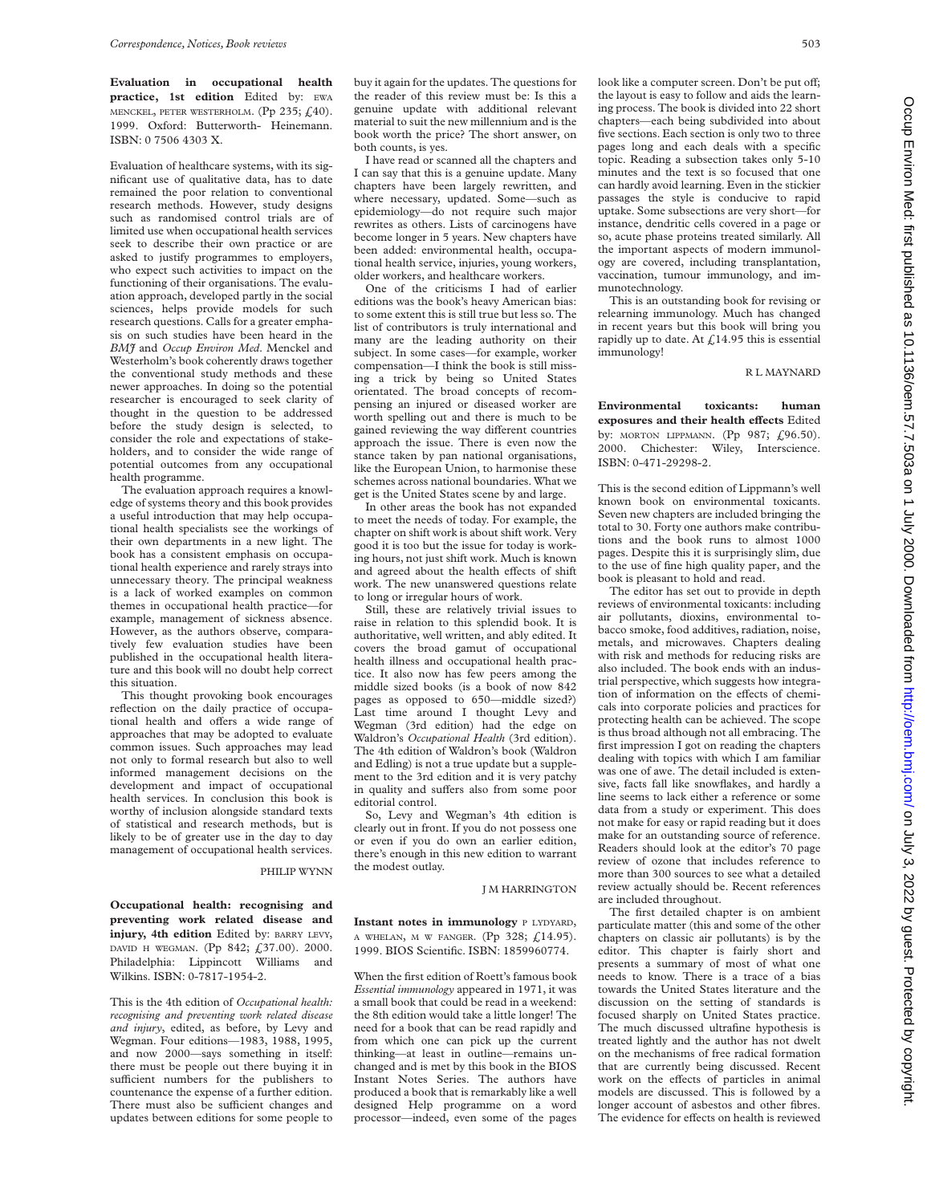**Evaluation in occupational health practice, 1st edition** Edited by: EWA MENCKEL, PETER WESTERHOLM. (Pp 235;  $f<sub>1</sub>(40)$ . 1999. Oxford: Butterworth- Heinemann. ISBN: 0 7506 4303 X.

Evaluation of healthcare systems, with its significant use of qualitative data, has to date remained the poor relation to conventional research methods. However, study designs such as randomised control trials are of limited use when occupational health services seek to describe their own practice or are asked to justify programmes to employers, who expect such activities to impact on the functioning of their organisations. The evaluation approach, developed partly in the social sciences, helps provide models for such research questions. Calls for a greater emphasis on such studies have been heard in the *BMJ* and *Occup Environ Med*. Menckel and Westerholm's book coherently draws together the conventional study methods and these newer approaches. In doing so the potential researcher is encouraged to seek clarity of thought in the question to be addressed before the study design is selected, to consider the role and expectations of stakeholders, and to consider the wide range of potential outcomes from any occupational health programme.

The evaluation approach requires a knowledge of systems theory and this book provides a useful introduction that may help occupational health specialists see the workings of their own departments in a new light. The book has a consistent emphasis on occupational health experience and rarely strays into unnecessary theory. The principal weakness is a lack of worked examples on common themes in occupational health practice—for example, management of sickness absence. However, as the authors observe, comparatively few evaluation studies have been published in the occupational health literature and this book will no doubt help correct this situation.

This thought provoking book encourages reflection on the daily practice of occupational health and offers a wide range of approaches that may be adopted to evaluate common issues. Such approaches may lead not only to formal research but also to well informed management decisions on the development and impact of occupational health services. In conclusion this book is worthy of inclusion alongside standard texts of statistical and research methods, but is likely to be of greater use in the day to day management of occupational health services.

PHILIP WYNN

**Occupational health: recognising and preventing work related disease and injury, 4th edition** Edited by: BARRY LEVY, DAVID H WEGMAN. (Pp 842; £37.00). 2000. Philadelphia: Lippincott Williams and Wilkins. ISBN: 0-7817-1954-2.

This is the 4th edition of *Occupational health: recognising and preventing work related disease and injury*, edited, as before, by Levy and Wegman. Four editions—1983, 1988, 1995, and now 2000—says something in itself: there must be people out there buying it in sufficient numbers for the publishers to countenance the expense of a further edition. There must also be sufficient changes and updates between editions for some people to buy it again for the updates. The questions for the reader of this review must be: Is this a genuine update with additional relevant material to suit the new millennium and is the book worth the price? The short answer, on both counts, is yes.

I have read or scanned all the chapters and I can say that this is a genuine update. Many chapters have been largely rewritten, and where necessary, updated. Some—such as epidemiology—do not require such major rewrites as others. Lists of carcinogens have become longer in 5 years. New chapters have been added: environmental health, occupational health service, injuries, young workers, older workers, and healthcare workers.

One of the criticisms I had of earlier editions was the book's heavy American bias: to some extent this is still true but less so. The list of contributors is truly international and many are the leading authority on their subject. In some cases—for example, worker compensation—I think the book is still missing a trick by being so United States orientated. The broad concepts of recompensing an injured or diseased worker are worth spelling out and there is much to be gained reviewing the way different countries approach the issue. There is even now the stance taken by pan national organisations, like the European Union, to harmonise these schemes across national boundaries. What we get is the United States scene by and large.

In other areas the book has not expanded to meet the needs of today. For example, the chapter on shift work is about shift work. Very good it is too but the issue for today is working hours, not just shift work. Much is known and agreed about the health effects of shift work. The new unanswered questions relate to long or irregular hours of work.

Still, these are relatively trivial issues to raise in relation to this splendid book. It is authoritative, well written, and ably edited. It covers the broad gamut of occupational health illness and occupational health practice. It also now has few peers among the middle sized books (is a book of now 842 pages as opposed to 650—middle sized?) Last time around I thought Levy and Wegman (3rd edition) had the edge on Waldron's *Occupational Health* (3rd edition). The 4th edition of Waldron's book (Waldron and Edling) is not a true update but a supplement to the 3rd edition and it is very patchy in quality and suffers also from some poor editorial control.

So, Levy and Wegman's 4th edition is clearly out in front. If you do not possess one or even if you do own an earlier edition, there's enough in this new edition to warrant the modest outlay.

J M HARRINGTON

**Instant notes in immunology** P LYDYARD, A WHELAN, M W FANGER.  $($ Pp 328;  $f$ 14.95). 1999. BIOS Scientific. ISBN: 1859960774.

When the first edition of Roett's famous book *Essential immunology* appeared in 1971, it was a small book that could be read in a weekend: the 8th edition would take a little longer! The need for a book that can be read rapidly and from which one can pick up the current thinking—at least in outline—remains unchanged and is met by this book in the BIOS Instant Notes Series. The authors have produced a book that is remarkably like a well designed Help programme on a word processor—indeed, even some of the pages

look like a computer screen. Don't be put off; the layout is easy to follow and aids the learning process. The book is divided into 22 short chapters—each being subdivided into about five sections. Each section is only two to three pages long and each deals with a specific topic. Reading a subsection takes only 5-10 minutes and the text is so focused that one can hardly avoid learning. Even in the stickier passages the style is conducive to rapid uptake. Some subsections are very short—for instance, dendritic cells covered in a page or so, acute phase proteins treated similarly. All the important aspects of modern immunology are covered, including transplantation, vaccination, tumour immunology, and immunotechnology.

This is an outstanding book for revising or relearning immunology. Much has changed in recent years but this book will bring you rapidly up to date. At  $\mathcal{L}$ 14.95 this is essential immunology!

### R L MAYNARD

**Environmental toxicants: human exposures and their health effects** Edited by: MORTON LIPPMANN. (Pp 987; £96.50). 2000. Chichester: Wiley, Interscience. ISBN: 0-471-29298-2.

This is the second edition of Lippmann's well known book on environmental toxicants. Seven new chapters are included bringing the total to 30. Forty one authors make contributions and the book runs to almost 1000 pages. Despite this it is surprisingly slim, due to the use of fine high quality paper, and the book is pleasant to hold and read.

The editor has set out to provide in depth reviews of environmental toxicants: including air pollutants, dioxins, environmental tobacco smoke, food additives, radiation, noise, metals, and microwaves. Chapters dealing with risk and methods for reducing risks are also included. The book ends with an industrial perspective, which suggests how integration of information on the effects of chemicals into corporate policies and practices for protecting health can be achieved. The scope is thus broad although not all embracing. The first impression I got on reading the chapters dealing with topics with which I am familiar was one of awe. The detail included is extensive, facts fall like snowflakes, and hardly a line seems to lack either a reference or some data from a study or experiment. This does not make for easy or rapid reading but it does make for an outstanding source of reference. Readers should look at the editor's 70 page review of ozone that includes reference to more than 300 sources to see what a detailed review actually should be. Recent references are included throughout.

The first detailed chapter is on ambient particulate matter (this and some of the other chapters on classic air pollutants) is by the editor. This chapter is fairly short and presents a summary of most of what one needs to know. There is a trace of a bias towards the United States literature and the discussion on the setting of standards is focused sharply on United States practice. The much discussed ultrafine hypothesis is treated lightly and the author has not dwelt on the mechanisms of free radical formation that are currently being discussed. Recent work on the effects of particles in animal models are discussed. This is followed by a longer account of asbestos and other fibres. The evidence for effects on health is reviewed